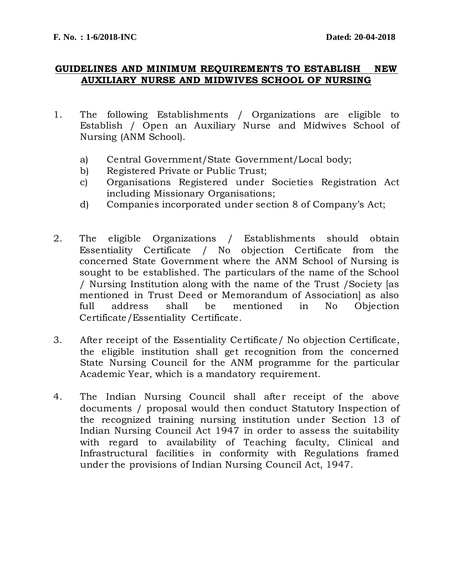#### **GUIDELINES AND MINIMUM REQUIREMENTS TO ESTABLISH NEW AUXILIARY NURSE AND MIDWIVES SCHOOL OF NURSING**

- 1. The following Establishments / Organizations are eligible to Establish / Open an Auxiliary Nurse and Midwives School of Nursing (ANM School).
	- a) Central Government/State Government/Local body;
	- b) Registered Private or Public Trust;
	- c) Organisations Registered under Societies Registration Act including Missionary Organisations;
	- d) Companies incorporated under section 8 of Company's Act;
- 2. The eligible Organizations / Establishments should obtain Essentiality Certificate / No objection Certificate from the concerned State Government where the ANM School of Nursing is sought to be established. The particulars of the name of the School / Nursing Institution along with the name of the Trust /Society [as mentioned in Trust Deed or Memorandum of Association] as also full address shall be mentioned in No Objection Certificate/Essentiality Certificate.
- 3. After receipt of the Essentiality Certificate/ No objection Certificate, the eligible institution shall get recognition from the concerned State Nursing Council for the ANM programme for the particular Academic Year, which is a mandatory requirement.
- 4. The Indian Nursing Council shall after receipt of the above documents / proposal would then conduct Statutory Inspection of the recognized training nursing institution under Section 13 of Indian Nursing Council Act 1947 in order to assess the suitability with regard to availability of Teaching faculty, Clinical and Infrastructural facilities in conformity with Regulations framed under the provisions of Indian Nursing Council Act, 1947.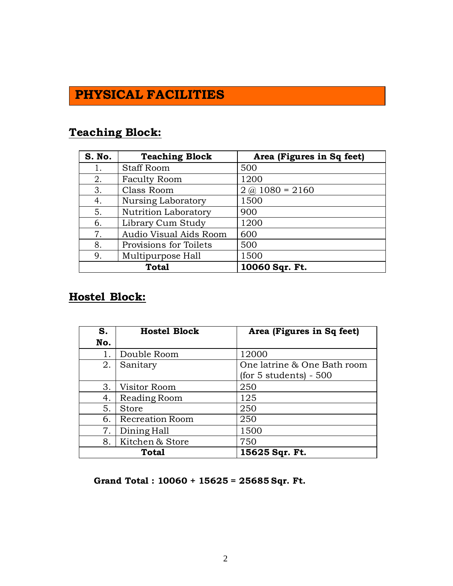# **PHYSICAL FACILITIES**

## **Teaching Block:**

| S. No.       | <b>Teaching Block</b>  | Area (Figures in Sq feet) |
|--------------|------------------------|---------------------------|
| 1.           | <b>Staff Room</b>      | 500                       |
| 2.           | <b>Faculty Room</b>    | 1200                      |
| 3.           | Class Room             | $2\omega(1080) = 2160$    |
| 4.           | Nursing Laboratory     | 1500                      |
| 5.           | Nutrition Laboratory   | 900                       |
| 6.           | Library Cum Study      | 1200                      |
| 7.           | Audio Visual Aids Room | 600                       |
| 8.           | Provisions for Toilets | 500                       |
| 9.           | Multipurpose Hall      | 1500                      |
| <b>Total</b> |                        | 10060 Sqr. Ft.            |

### **Hostel Block:**

| S.    | <b>Hostel Block</b>    | Area (Figures in Sq feet)   |
|-------|------------------------|-----------------------------|
| No.   |                        |                             |
| 1.    | Double Room            | 12000                       |
| 2.    | Sanitary               | One latrine & One Bath room |
|       |                        | $(for 5 students) - 500$    |
| 3.    | Visitor Room           | 250                         |
| 4.    | Reading Room           | 125                         |
| 5.    | Store                  | 250                         |
| 6.    | <b>Recreation Room</b> | 250                         |
| 7.    | Dining Hall            | 1500                        |
| 8.    | Kitchen & Store        | 750                         |
| Total |                        | 15625 Sqr. Ft.              |

**Grand Total : 10060 + 15625 = 25685 Sqr. Ft.**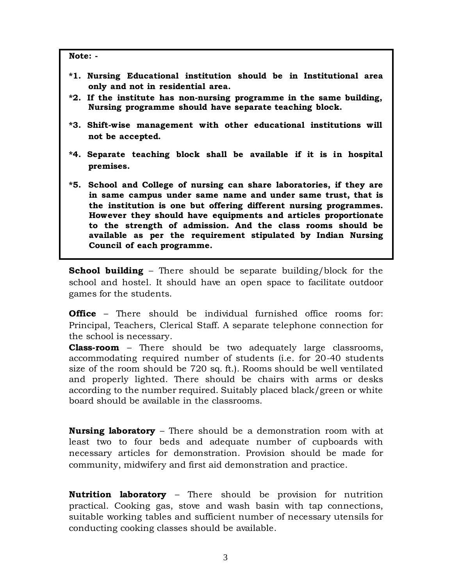**Note: -**

- **\*1. Nursing Educational institution should be in Institutional area only and not in residential area.**
- **\*2. If the institute has non-nursing programme in the same building, Nursing programme should have separate teaching block.**
- **\*3. Shift-wise management with other educational institutions will not be accepted.**
- **\*4. Separate teaching block shall be available if it is in hospital premises.**
- **\*5. School and College of nursing can share laboratories, if they are in same campus under same name and under same trust, that is the institution is one but offering different nursing programmes. However they should have equipments and articles proportionate to the strength of admission. And the class rooms should be available as per the requirement stipulated by Indian Nursing Council of each programme.**

**School building** – There should be separate building/block for the school and hostel. It should have an open space to facilitate outdoor games for the students.

**Office** – There should be individual furnished office rooms for: Principal, Teachers, Clerical Staff. A separate telephone connection for the school is necessary.

**Class-room** – There should be two adequately large classrooms, accommodating required number of students (i.e. for 20-40 students size of the room should be 720 sq. ft.). Rooms should be well ventilated and properly lighted. There should be chairs with arms or desks according to the number required. Suitably placed black/green or white board should be available in the classrooms.

**Nursing laboratory** – There should be a demonstration room with at least two to four beds and adequate number of cupboards with necessary articles for demonstration. Provision should be made for community, midwifery and first aid demonstration and practice.

**Nutrition laboratory** – There should be provision for nutrition practical. Cooking gas, stove and wash basin with tap connections, suitable working tables and sufficient number of necessary utensils for conducting cooking classes should be available.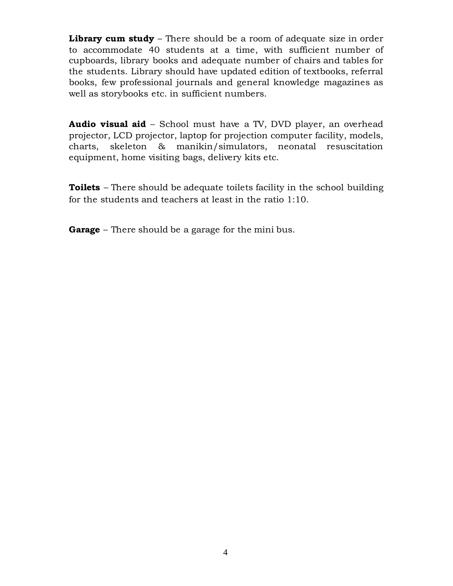**Library cum study** – There should be a room of adequate size in order to accommodate 40 students at a time, with sufficient number of cupboards, library books and adequate number of chairs and tables for the students. Library should have updated edition of textbooks, referral books, few professional journals and general knowledge magazines as well as storybooks etc. in sufficient numbers.

**Audio visual aid** – School must have a TV, DVD player, an overhead projector, LCD projector, laptop for projection computer facility, models, charts, skeleton & manikin/simulators, neonatal resuscitation equipment, home visiting bags, delivery kits etc.

**Toilets** – There should be adequate toilets facility in the school building for the students and teachers at least in the ratio 1:10.

**Garage** – There should be a garage for the mini bus.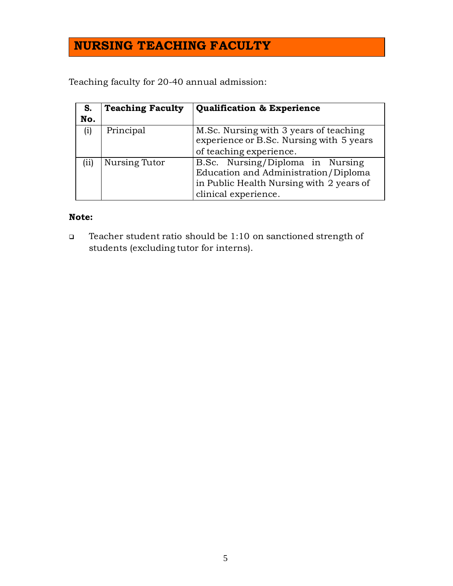# **NURSING TEACHING FACULTY**

Teaching faculty for 20-40 annual admission:

| S.                          | <b>Teaching Faculty</b> | <b>Qualification &amp; Experience</b>                                                                                                        |
|-----------------------------|-------------------------|----------------------------------------------------------------------------------------------------------------------------------------------|
| No.                         |                         |                                                                                                                                              |
| (i)                         | Principal               | M.Sc. Nursing with 3 years of teaching<br>experience or B.Sc. Nursing with 5 years                                                           |
|                             |                         | of teaching experience.                                                                                                                      |
| $\left( \mathrm{ii}\right)$ | Nursing Tutor           | B.Sc. Nursing/Diploma in Nursing<br>Education and Administration/Diploma<br>in Public Health Nursing with 2 years of<br>clinical experience. |

### **Note:**

 Teacher student ratio should be 1:10 on sanctioned strength of students (excluding tutor for interns).